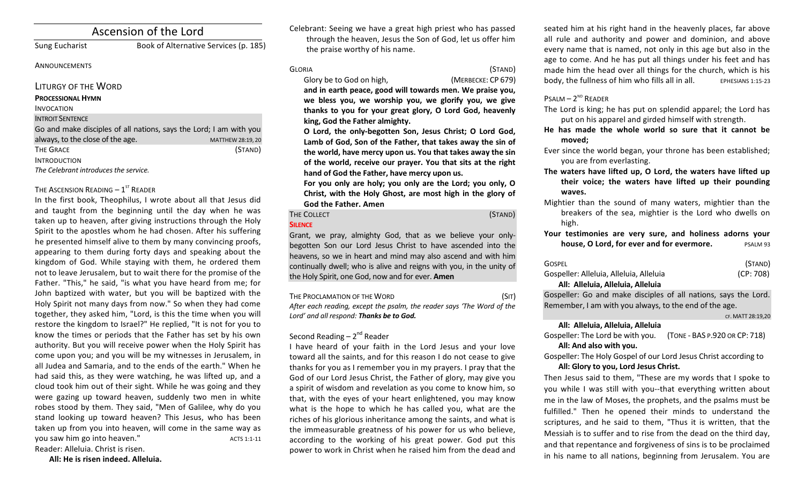# Ascension of the Lord

Sung Eucharist Book of Alternative Services (p. 185)

## **ANNOUNCEMENTS**

## LITURGY OF THE WORD

### **PROCESSIONAL HYMN**

### INVOCATION

## **INTROIT SENTENCE**

Go and make disciples of all nations, says the Lord; I am with you always, to the close of the age. MATTHEW 28:19, 20 THE GRACE (STAND) INTRODUCTION The Celebrant introduces the service.

## THE ASCENSION READING  $-1<sup>st</sup>$  READER

In the first book, Theophilus, I wrote about all that Jesus did and taught from the beginning until the day when he was taken up to heaven, after giving instructions through the Holy Spirit to the apostles whom he had chosen. After his suffering he presented himself alive to them by many convincing proofs, appearing to them during forty days and speaking about the kingdom of God. While staying with them, he ordered them not to leave Jerusalem, but to wait there for the promise of the Father. "This," he said, "is what you have heard from me; for John baptized with water, but you will be baptized with the Holy Spirit not many days from now." So when they had come together, they asked him, "Lord, is this the time when you will restore the kingdom to Israel?" He replied, "It is not for you to know the times or periods that the Father has set by his own authority. But you will receive power when the Holy Spirit has come upon you; and you will be my witnesses in Jerusalem, in all Judea and Samaria, and to the ends of the earth." When he had said this, as they were watching, he was lifted up, and a cloud took him out of their sight. While he was going and they were gazing up toward heaven, suddenly two men in white robes stood by them. They said, "Men of Galilee, why do you stand looking up toward heaven? This Jesus, who has been taken up from you into heaven, will come in the same way as you saw him go into heaven." ACTS 1:1-11 Reader: Alleluia. Christ is risen.

All: He is risen indeed. Alleluia.

Celebrant: Seeing we have a great high priest who has passed through the heaven, Jesus the Son of God, let us offer him the praise worthy of his name.

GLORIA (STAND)

Glory be to God on high, *(MERBECKE: CP 679)* and in earth peace, good will towards men. We praise you, we bless you, we worship you, we glorify you, we give thanks to you for your great glory, O Lord God, heavenly king, God the Father almighty.

**O** Lord, the only-begotten Son, Jesus Christ; O Lord God, Lamb of God, Son of the Father, that takes away the sin of the world, have mercy upon us. You that takes away the sin of the world, receive our prayer. You that sits at the right hand of God the Father, have mercy upon us.

For you only are holy; you only are the Lord; you only, O Christ, with the Holy Ghost, are most high in the glory of **God the Father. Amen**

### **SILENCE**

THE COLLECT **THE COLLECT COLLECT COLLECT COLLECT COLLECT COLLECT COLLECT COLLECT COLLECT** 

Grant, we pray, almighty God, that as we believe your onlybegotten Son our Lord Jesus Christ to have ascended into the heavens, so we in heart and mind may also ascend and with him continually dwell; who is alive and reigns with you, in the unity of the Holy Spirit, one God, now and for ever. **Amen** 

THE PROCLAMATION OF THE WORD (SIT) After each reading, except the psalm, the reader says 'The Word of the Lord' and all respond: **Thanks be to God.** 

# Second Reading  $- 2<sup>nd</sup>$  Reader

I have heard of your faith in the Lord Jesus and your love toward all the saints, and for this reason I do not cease to give thanks for you as I remember you in my prayers. I pray that the God of our Lord Jesus Christ, the Father of glory, may give you a spirit of wisdom and revelation as you come to know him, so that, with the eyes of your heart enlightened, you may know what is the hope to which he has called you, what are the riches of his glorious inheritance among the saints, and what is the immeasurable greatness of his power for us who believe, according to the working of his great power. God put this power to work in Christ when he raised him from the dead and seated him at his right hand in the heavenly places, far above all rule and authority and power and dominion, and above every name that is named, not only in this age but also in the age to come. And he has put all things under his feet and has made him the head over all things for the church, which is his body, the fullness of him who fills all in all.  $EPIESIANS 1:15-23$ 

## $P$ SALM –  $2^{ND}$  READER

- The Lord is king; he has put on splendid apparel; the Lord has put on his apparel and girded himself with strength.
- He has made the whole world so sure that it cannot be **moved;**
- Ever since the world began, your throne has been established; you are from everlasting.
- The waters have lifted up, O Lord, the waters have lifted up their voice; the waters have lifted up their pounding **waves.**
- Mightier than the sound of many waters, mightier than the breakers of the sea, mightier is the Lord who dwells on high.

Your testimonies are very sure, and holiness adorns your **house, O Lord, for ever and for evermore.** PSALM 93

| <b>GOSPEL</b>                           | (STAND)   |
|-----------------------------------------|-----------|
| Gospeller: Alleluia, Alleluia, Alleluia | (CP: 708) |
| All: Alleluia, Alleluia, Alleluia       |           |

Gospeller: Go and make disciples of all nations, says the Lord. Remember, I am with you always, to the end of the age.

#### CF. MATT 28:19,20

## **All: Alleluia, Alleluia, Alleluia**

Gospeller: The Lord be with you. (TONE - BAS P.920 OR CP: 718) All: And also with you.

Gospeller: The Holy Gospel of our Lord Jesus Christ according to All: Glory to you, Lord Jesus Christ.

Then Jesus said to them, "These are my words that I spoke to you while I was still with you--that everything written about me in the law of Moses, the prophets, and the psalms must be fulfilled." Then he opened their minds to understand the scriptures, and he said to them, "Thus it is written, that the Messiah is to suffer and to rise from the dead on the third day, and that repentance and forgiveness of sins is to be proclaimed in his name to all nations, beginning from Jerusalem. You are